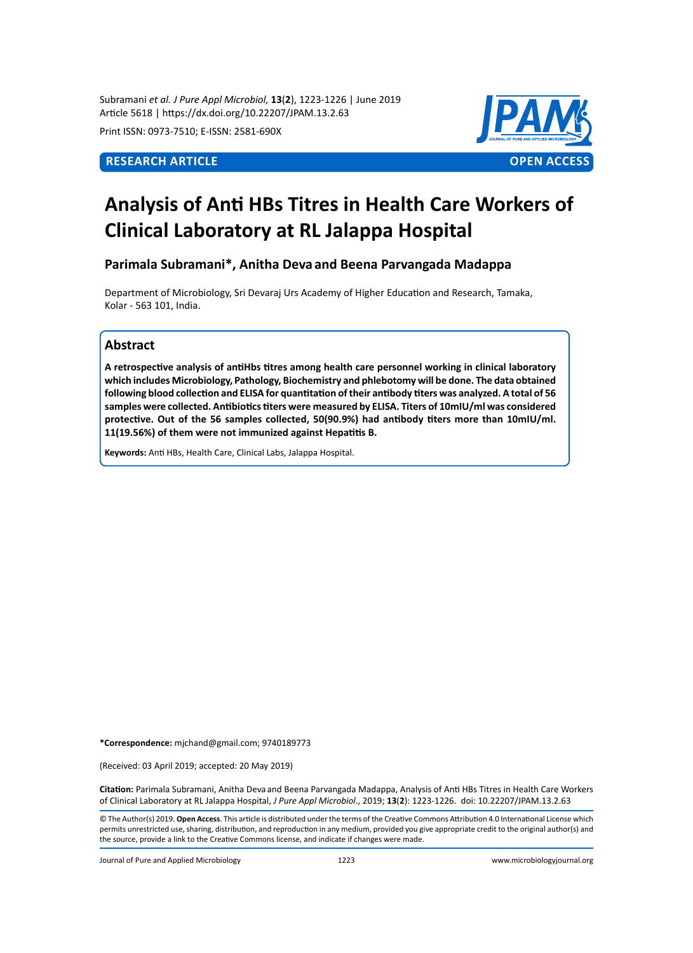Subramani *et al. J Pure Appl Microbiol,* **13**(**2**), 1223-1226 | June 2019 Article 5618 | https://dx.doi.org/10.22207/JPAM.13.2.63

Print ISSN: 0973-7510; E-ISSN: 2581-690X



# **Analysis of Anti HBs Titres in Health Care Workers of Clinical Laboratory at RL Jalappa Hospital**

## **Parimala Subramani\*, Anitha Deva and Beena Parvangada Madappa**

Department of Microbiology, Sri Devaraj Urs Academy of Higher Education and Research, Tamaka, Kolar - 563 101, India.

# **Abstract**

**A retrospective analysis of antiHbs titres among health care personnel working in clinical laboratory which includes Microbiology, Pathology, Biochemistry and phlebotomy will be done. The data obtained following blood collection and ELISA for quantitation of their antibody titers was analyzed. A total of 56 samples were collected. Antibiotics titers were measured by ELISA. Titers of 10mIU/ml was considered protective. Out of the 56 samples collected, 50(90.9%) had antibody titers more than 10mIU/ml. 11(19.56%) of them were not immunized against Hepatitis B.**

**Keywords:** Anti HBs, Health Care, Clinical Labs, Jalappa Hospital.

**\*Correspondence:** mjchand@gmail.com; 9740189773

(Received: 03 April 2019; accepted: 20 May 2019)

**Citation:** Parimala Subramani, Anitha Deva and Beena Parvangada Madappa, Analysis of Anti HBs Titres in Health Care Workers of Clinical Laboratory at RL Jalappa Hospital, *J Pure Appl Microbiol*., 2019; **13**(**2**): 1223-1226. doi: 10.22207/JPAM.13.2.63

© The Author(s) 2019. **Open Access**. This article is distributed under the terms of the Creative Commons Attribution 4.0 International License which permits unrestricted use, sharing, distribution, and reproduction in any medium, provided you give appropriate credit to the original author(s) and the source, provide a link to the Creative Commons license, and indicate if changes were made.

Journal of Pure and Applied Microbiology 1223 www.microbiologyjournal.org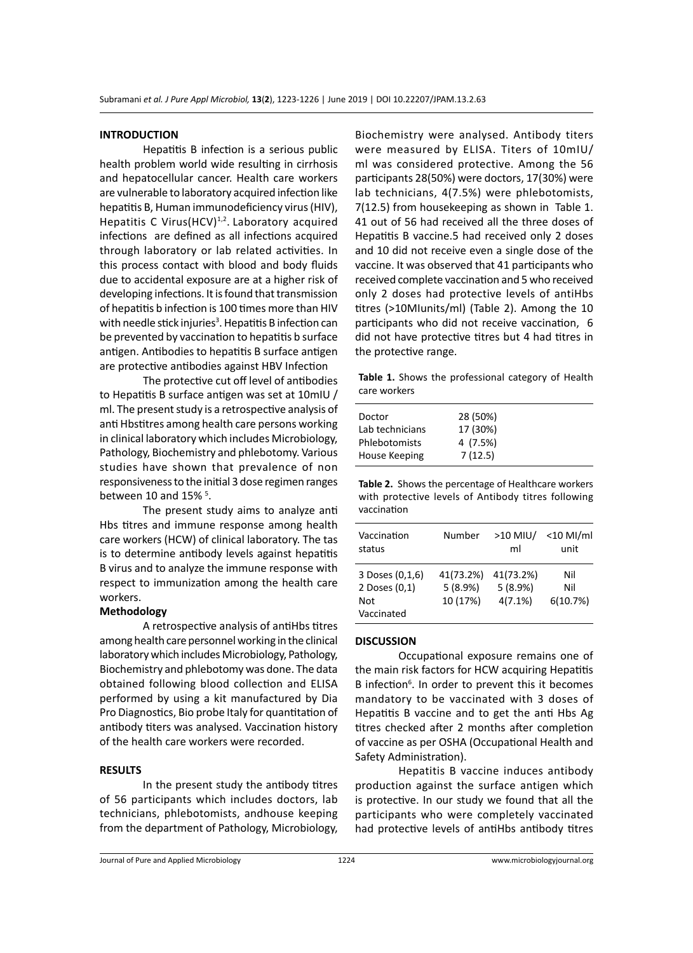#### **INTRODUCTION**

Hepatitis B infection is a serious public health problem world wide resulting in cirrhosis and hepatocellular cancer. Health care workers are vulnerable to laboratory acquired infection like hepatitis B, Human immunodeficiency virus (HIV), Hepatitis C Virus  $(HCV)^{1,2}$ . Laboratory acquired infections are defined as all infections acquired through laboratory or lab related activities. In this process contact with blood and body fluids due to accidental exposure are at a higher risk of developing infections. It is found that transmission of hepatitis b infection is 100 times more than HIV with needle stick injuries<sup>3</sup>. Hepatitis B infection can be prevented by vaccination to hepatitis b surface antigen. Antibodies to hepatitis B surface antigen are protective antibodies against HBV Infection

The protective cut off level of antibodies to Hepatitis B surface antigen was set at 10mIU / ml. The present study is a retrospective analysis of anti Hbstitres among health care persons working in clinical laboratory which includes Microbiology, Pathology, Biochemistry and phlebotomy. Various studies have shown that prevalence of non responsiveness to the initial 3 dose regimen ranges between 10 and  $15\%$ <sup>5</sup>.

The present study aims to analyze anti Hbs titres and immune response among health care workers (HCW) of clinical laboratory. The tas is to determine antibody levels against hepatitis B virus and to analyze the immune response with respect to immunization among the health care workers.

#### **Methodology**

A retrospective analysis of antiHbs titres among health care personnel working in the clinical laboratory which includes Microbiology, Pathology, Biochemistry and phlebotomy was done. The data obtained following blood collection and ELISA performed by using a kit manufactured by Dia Pro Diagnostics, Bio probe Italy for quantitation of antibody titers was analysed. Vaccination history of the health care workers were recorded.

#### **RESULTS**

In the present study the antibody titres of 56 participants which includes doctors, lab technicians, phlebotomists, andhouse keeping from the department of Pathology, Microbiology, Biochemistry were analysed. Antibody titers were measured by ELISA. Titers of 10mIU/ ml was considered protective. Among the 56 participants 28(50%) were doctors, 17(30%) were lab technicians, 4(7.5%) were phlebotomists, 7(12.5) from housekeeping as shown in Table 1. 41 out of 56 had received all the three doses of Hepatitis B vaccine.5 had received only 2 doses and 10 did not receive even a single dose of the vaccine. It was observed that 41 participants who received complete vaccination and 5 who received only 2 doses had protective levels of antiHbs titres (>10MIunits/ml) (Table 2). Among the 10 participants who did not receive vaccination, 6 did not have protective titres but 4 had titres in the protective range.

**Table 1.** Shows the professional category of Health care workers

| 28 (50%) |  |
|----------|--|
| 17 (30%) |  |
| 4 (7.5%) |  |
| 7(12.5)  |  |
|          |  |

**Table 2.** Shows the percentage of Healthcare workers with protective levels of Antibody titres following vaccination

| Vaccination                                           | Number                           | $>10$ MIU/                         | $<$ 10 MI/ml           |
|-------------------------------------------------------|----------------------------------|------------------------------------|------------------------|
| status                                                |                                  | ml                                 | unit                   |
| 3 Doses (0,1,6)<br>2 Doses (0,1)<br>Not<br>Vaccinated | 41(73.2%)<br>5(8.9%)<br>10 (17%) | 41(73.2%)<br>5(8.9%)<br>$4(7.1\%)$ | Nil<br>Nil<br>6(10.7%) |

#### **DISCUSSION**

Occupational exposure remains one of the main risk factors for HCW acquiring Hepatitis B infection<sup>6</sup>. In order to prevent this it becomes mandatory to be vaccinated with 3 doses of Hepatitis B vaccine and to get the anti Hbs Ag titres checked after 2 months after completion of vaccine as per OSHA (Occupational Health and Safety Administration).

Hepatitis B vaccine induces antibody production against the surface antigen which is protective. In our study we found that all the participants who were completely vaccinated had protective levels of antiHbs antibody titres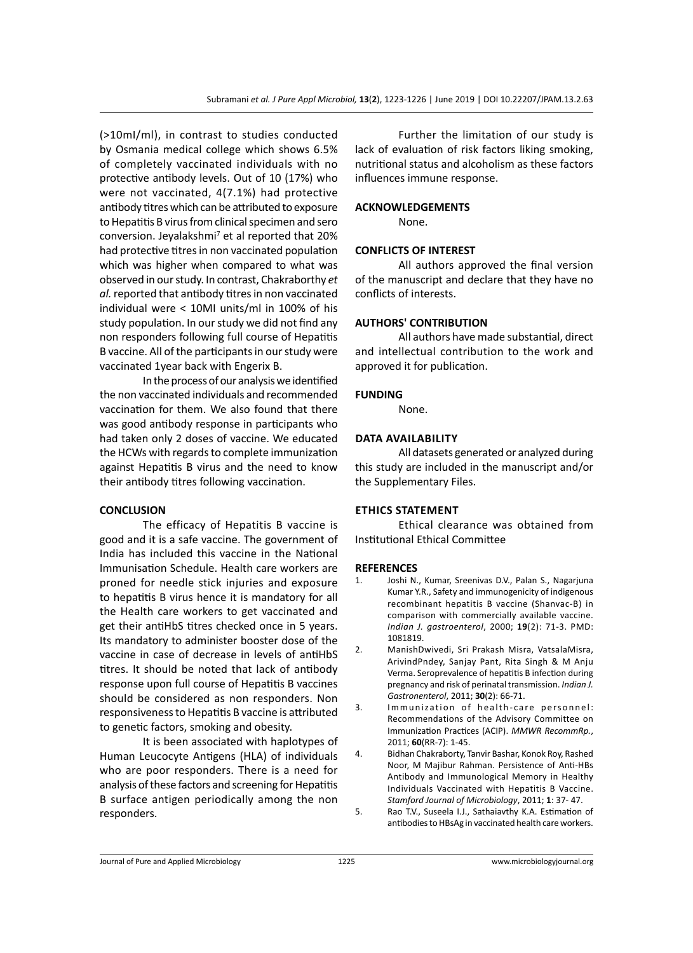(>10mI/ml), in contrast to studies conducted by Osmania medical college which shows 6.5% of completely vaccinated individuals with no protective antibody levels. Out of 10 (17%) who were not vaccinated, 4(7.1%) had protective antibody titres which can be attributed to exposure to Hepatitis B virus from clinical specimen and sero conversion. Jeyalakshmi<sup>7</sup> et al reported that 20% had protective titres in non vaccinated population which was higher when compared to what was observed in our study. In contrast, Chakraborthy *et al.* reported that antibody titres in non vaccinated individual were < 10MI units/ml in 100% of his study population. In our study we did not find any non responders following full course of Hepatitis B vaccine. All of the participants in our study were vaccinated 1year back with Engerix B.

In the process of our analysis we identified the non vaccinated individuals and recommended vaccination for them. We also found that there was good antibody response in participants who had taken only 2 doses of vaccine. We educated the HCWs with regards to complete immunization against Hepatitis B virus and the need to know their antibody titres following vaccination.

#### **CONCLUSION**

The efficacy of Hepatitis B vaccine is good and it is a safe vaccine. The government of India has included this vaccine in the National Immunisation Schedule. Health care workers are proned for needle stick injuries and exposure to hepatitis B virus hence it is mandatory for all the Health care workers to get vaccinated and get their antiHbS titres checked once in 5 years. Its mandatory to administer booster dose of the vaccine in case of decrease in levels of antiHbS titres. It should be noted that lack of antibody response upon full course of Hepatitis B vaccines should be considered as non responders. Non responsiveness to Hepatitis B vaccine is attributed to genetic factors, smoking and obesity.

It is been associated with haplotypes of Human Leucocyte Antigens (HLA) of individuals who are poor responders. There is a need for analysis of these factors and screening for Hepatitis B surface antigen periodically among the non responders.

Further the limitation of our study is lack of evaluation of risk factors liking smoking, nutritional status and alcoholism as these factors influences immune response.

#### **ACKNOWLEDGEMENTS**

None.

### **CONFLICTS OF INTEREST**

All authors approved the final version of the manuscript and declare that they have no conflicts of interests.

### **AUTHORS' CONTRIBUTION**

All authors have made substantial, direct and intellectual contribution to the work and approved it for publication.

#### **FUNDING**

None.

#### **Data availability**

All datasets generated or analyzed during this study are included in the manuscript and/or the Supplementary Files.

#### **Ethics Statement**

Ethical clearance was obtained from Institutional Ethical Committee

#### **REFERENCES**

- 1. Joshi N., Kumar, Sreenivas D.V., Palan S., Nagarjuna Kumar Y.R., Safety and immunogenicity of indigenous recombinant hepatitis B vaccine (Shanvac-B) in comparison with commercially available vaccine. *Indian J. gastroenterol*, 2000; **19**(2): 71-3. PMD: 1081819.
- 2. ManishDwivedi, Sri Prakash Misra, VatsalaMisra, ArivindPndey, Sanjay Pant, Rita Singh & M Anju Verma. Seroprevalence of hepatitis B infection during pregnancy and risk of perinatal transmission. *Indian J. Gastronenterol*, 2011; **30**(2): 66-71.
- 3. Immunization of health-care personnel: Recommendations of the Advisory Committee on Immunization Practices (ACIP). *MMWR RecommRp.*, 2011; **60**(RR-7): 1-45.
- 4. Bidhan Chakraborty, Tanvir Bashar, Konok Roy, Rashed Noor, M Majibur Rahman. Persistence of Anti-HBs Antibody and Immunological Memory in Healthy Individuals Vaccinated with Hepatitis B Vaccine. *Stamford Journal of Microbiology*, 2011; **1**: 37- 47.
- 5. Rao T.V., Suseela I.J., Sathaiavthy K.A. Estimation of antibodies to HBsAg in vaccinated health care workers.